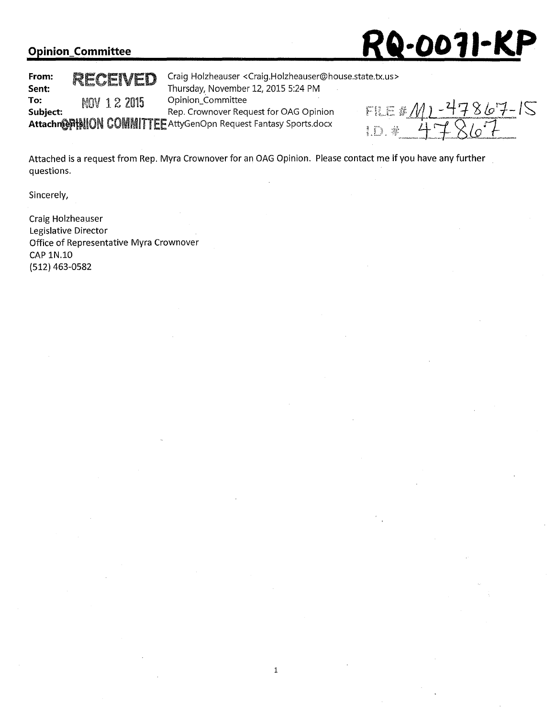

**To: MOV 1 2 2015** Opinion\_Committee<br> **Subject:** Rep. Crownover Req

**From: <br>
<b>RECEIVED** Craig Holzheauser <Craig.Holzheauser@house.state.tx.us><br>
Thursday, November 12, 2015 5:24 PM **Sent:** Thursday,\_ November 12, 2015 5:24 PM **Subject:** Rep. Crownover Request for OAG Opinion

Attachm@PHNION COMMITTEE AttyGenOpn Request Fantasy Sports.docx

FILE #  $M1 - 47867 - 15$ <br>1.D. # 47867

Attached is a request from Rep. Myra Crownover for an OAG Opinion. Please contact me if you have any further questions.

Sincerely,

Craig Holzheauser Legislative Director Office of Representative Myra Crownover CAP 1N.10 (512) 463-0582